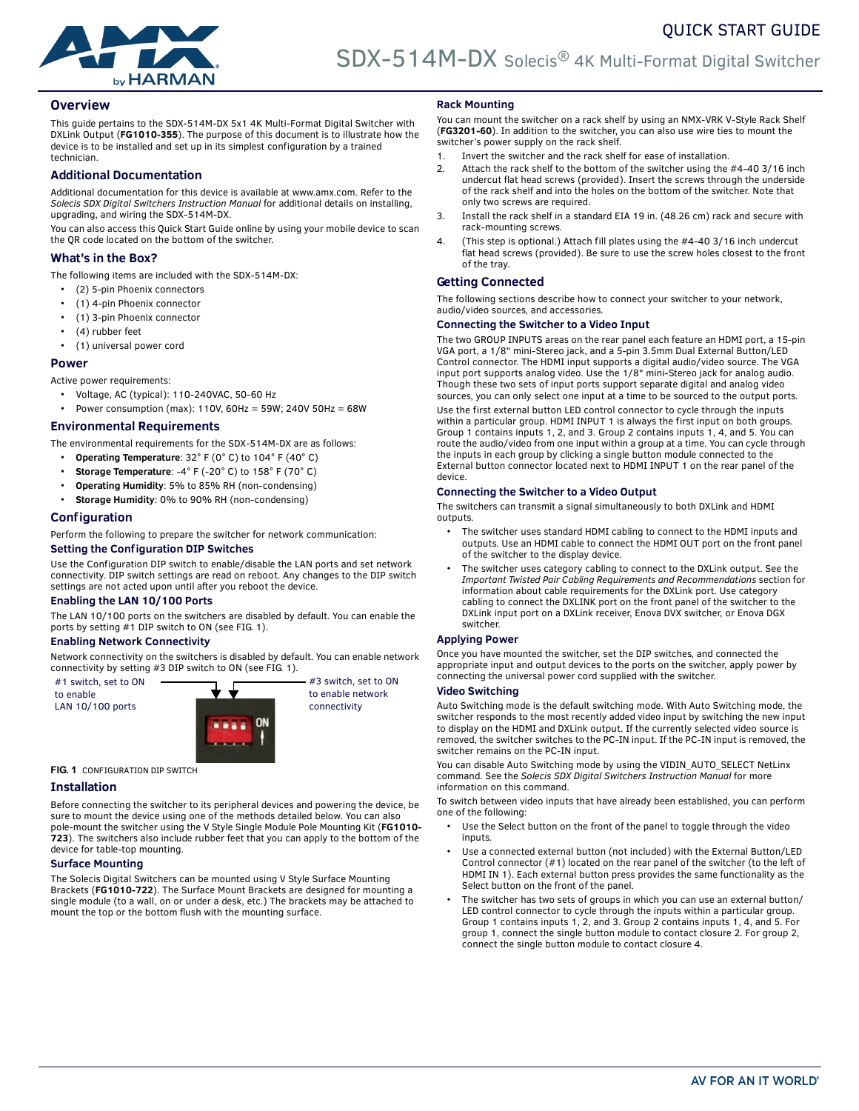

# **Overview**

This guide pertains to the SDX-514M-DX 5x1 4K Multi-Format Digital Switcher with DXLink Output (**FG1010-355**). The purpose of this document is to illustrate how the device is to be installed and set up in its simplest configuration by a trained technician.

# **Additional Documentation**

Additional documentation for this device is available at www.amx.com. Refer to the *Solecis SDX Digital Switchers Instruction Manual* for additional details on installing, upgrading, and wiring the SDX-514M-DX.

You can also access this Quick Start Guide online by using your mobile device to scan the QR code located on the bottom of the switcher.

# **What's in the Box?**

The following items are included with the SDX-514M-DX:

- (2) 5-pin Phoenix connectors
- (1) 4-pin Phoenix connector
- (1) 3-pin Phoenix connector
- (4) rubber feet
- (1) universal power cord

#### **Power**

Active power requirements:

- Voltage, AC (typical): 110-240VAC, 50-60 Hz
- Power consumption (max): 110V, 60Hz = 59W; 240V 50Hz = 68W

# **Environmental Requirements**

The environmental requirements for the SDX-514M-DX are as follows:

- **Operating Temperature**: 32° F (0° C) to 104° F (40° C)
- **Storage Temperature**: -4° F (-20° C) to 158° F (70° C)
- **Operating Humidity**: 5% to 85% RH (non-condensing)
- **Storage Humidity**: 0% to 90% RH (non-condensing)

# **Configuration**

Perform the following to prepare the switcher for network communication:

## **Setting the Conf iguration DIP Switches**

Use the Configuration DIP switch to enable/disable the LAN ports and set network connectivity. DIP switch settings are read on reboot. Any changes to the DIP switch settings are not acted upon until after you reboot the device.

## **Enabling the LAN 10/100 Ports**

The LAN 10/100 ports on the switchers are disabled by default. You can enable the ports by setting #1 DIP switch to ON (see [FIG. 1\)](#page-0-0).

#### **Enabling Network Connectivity**

Network connectivity on the switchers is disabled by default. You can enable network connectivity by setting #3 DIP switch to ON (see [FIG. 1](#page-0-0)).

#1 switch, set to ON to enable LAN 10/100 ports



#3 switch, set to ON to enable network connectivity

<span id="page-0-0"></span>**FIG. 1** CONFIGURATION DIP SWITCH

## **Installation**

Before connecting the switcher to its peripheral devices and powering the device, be sure to mount the device using one of the methods detailed below. You can also pole-mount the switcher using the V Style Single Module Pole Mounting Kit (**FG1010- 723**). The switchers also include rubber feet that you can apply to the bottom of the device for table-top mounting.

#### **Surface Mounting**

The Solecis Digital Switchers can be mounted using V Style Surface Mounting Brackets (**FG1010-722**). The Surface Mount Brackets are designed for mounting a single module (to a wall, on or under a desk, etc.) The brackets may be attached to mount the top or the bottom flush with the mounting surface.

## **Rack Mounting**

You can mount the switcher on a rack shelf by using an NMX-VRK V-Style Rack Shelf (**FG3201-60**). In addition to the switcher, you can also use wire ties to mount the switcher's power supply on the rack shelf.

QUICK START GUIDE

- 1. Invert the switcher and the rack shelf for ease of installation.
- 2. Attach the rack shelf to the bottom of the switcher using the #4-40 3/16 inch undercut flat head screws (provided). Insert the screws through the underside of the rack shelf and into the holes on the bottom of the switcher. Note that only two screws are required.
- 3. Install the rack shelf in a standard EIA 19 in. (48.26 cm) rack and secure with rack-mounting screws.
- 4. (This step is optional.) Attach fill plates using the #4-40 3/16 inch undercut flat head screws (provided). Be sure to use the screw holes closest to the front of the tray.

# **Getting Connected**

The following sections describe how to connect your switcher to your network, audio/video sources, and accessories.

#### **Connecting the Switcher to a Video Input**

The two GROUP INPUTS areas on the rear panel each feature an HDMI port, a 15-pin VGA port, a 1/8" mini-Stereo jack, and a 5-pin 3.5mm Dual External Button/LED Control connector. The HDMI input supports a digital audio/video source. The VGA input port supports analog video. Use the 1/8" mini-Stereo jack for analog audio. Though these two sets of input ports support separate digital and analog video sources, you can only select one input at a time to be sourced to the output ports. Use the first external button LED control connector to cycle through the inputs within a particular group. HDMI INPUT 1 is always the first input on both groups. Group 1 contains inputs 1, 2, and 3. Group 2 contains inputs 1, 4, and 5. You can route the audio/video from one input within a group at a time. You can cycle through the inputs in each group by clicking a single button module connected to the External button connector located next to HDMI INPUT 1 on the rear panel of the device.

## **Connecting the Switcher to a Video Output**

The switchers can transmit a signal simultaneously to both DXLink and HDMI outputs.

- The switcher uses standard HDMI cabling to connect to the HDMI inputs and outputs. Use an HDMI cable to connect the HDMI OUT port on the front panel of the switcher to the display device.
- The switcher uses category cabling to connect to the DXLink output. See the *Important Twisted Pair Cabling Requirements and Recommendations* section for information about cable requirements for the DXLink port. Use category cabling to connect the DXLINK port on the front panel of the switcher to the DXLink input port on a DXLink receiver, Enova DVX switcher, or Enova DGX switcher.

## **Applying Power**

Once you have mounted the switcher, set the DIP switches, and connected the appropriate input and output devices to the ports on the switcher, apply power by connecting the universal power cord supplied with the switcher.

#### **Video Switching**

Auto Switching mode is the default switching mode. With Auto Switching mode, the switcher responds to the most recently added video input by switching the new input to display on the HDMI and DXLink output. If the currently selected video source is removed, the switcher switches to the PC-IN input. If the PC-IN input is removed, the switcher remains on the PC-IN input.

You can disable Auto Switching mode by using the VIDIN\_AUTO\_SELECT NetLinx command. See the *Solecis SDX Digital Switchers Instruction Manual* for more information on this command.

To switch between video inputs that have already been established, you can perform one of the following:

- Use the Select button on the front of the panel to toggle through the video inputs.
- Use a connected external button (not included) with the External Button/LED Control connector (#1) located on the rear panel of the switcher (to the left of HDMI IN 1). Each external button press provides the same functionality as the Select button on the front of the panel.
- The switcher has two sets of groups in which you can use an external button/ LED control connector to cycle through the inputs within a particular group. Group 1 contains inputs 1, 2, and 3. Group 2 contains inputs 1, 4, and 5. For group 1, connect the single button module to contact closure 2. For group 2, connect the single button module to contact closure 4.